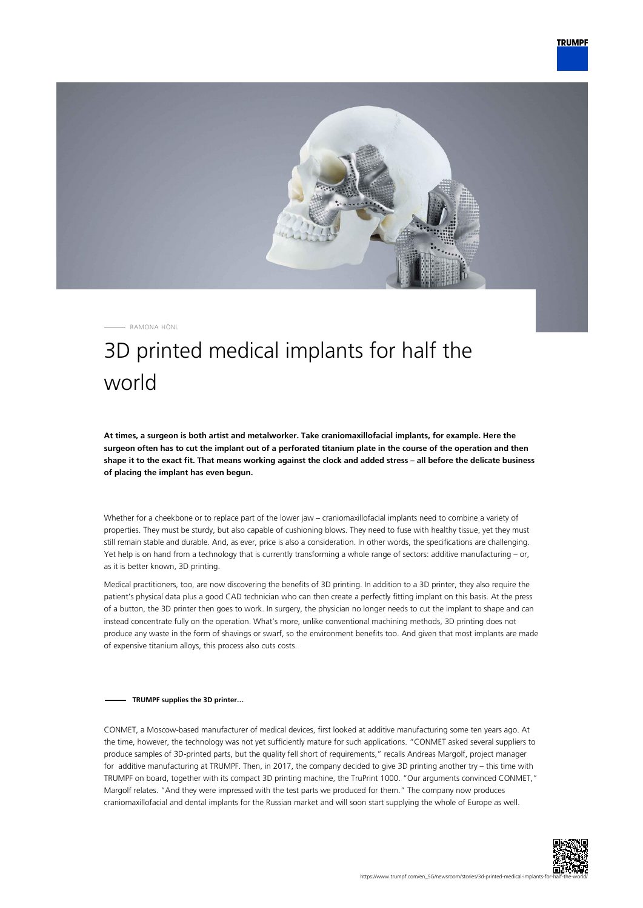

RAMONA HÖNL

## 3D printed medical implants for half the world

**At times, a surgeon is both artist and metalworker. Take craniomaxillofacial implants, for example. Here the surgeon often has to cut the implant out of a perforated titanium plate in the course of the operation and then shape it to the exact fit. That means working against the clock and added stress – all before the delicate business of placing the implant has even begun.**

Whether for a cheekbone or to replace part of the lower jaw – craniomaxillofacial implants need to combine a variety of properties. They must be sturdy, but also capable of cushioning blows. They need to fuse with healthy tissue, yet they must still remain stable and durable. And, as ever, price is also a consideration. In other words, the specifications are challenging. Yet help is on hand from a technology that is currently transforming a whole range of sectors: additive manufacturing – or, as it is better known, 3D printing.

Medical practitioners, too, are now discovering the benefits of 3D printing. In addition to a 3D printer, they also require the patient's physical data plus a good CAD technician who can then create a perfectly fitting implant on this basis. At the press of a button, the 3D printer then goes to work. In surgery, the physician no longer needs to cut the implant to shape and can instead concentrate fully on the operation. What's more, unlike conventional machining methods, 3D printing does not produce any waste in the form of shavings or swarf, so the environment benefits too. And given that most implants are made of expensive titanium alloys, this process also cuts costs.

## **TRUMPF supplies the 3D printer…**

CONMET, a Moscow-based manufacturer of medical devices, first looked at additive manufacturing some ten years ago. At the time, however, the technology was not yet sufficiently mature for such applications. "CONMET asked several suppliers to produce samples of 3D-printed parts, but the quality fell short of requirements," recalls Andreas Margolf, project manager for additive manufacturing at TRUMPF. Then, in 2017, the company decided to give 3D printing another try – this time with TRUMPF on board, together with its compact 3D printing machine, the TruPrint 1000. "Our arguments convinced CONMET," Margolf relates. "And they were impressed with the test parts we produced for them." The company now produces craniomaxillofacial and dental implants for the Russian market and will soon start supplying the whole of Europe as well.